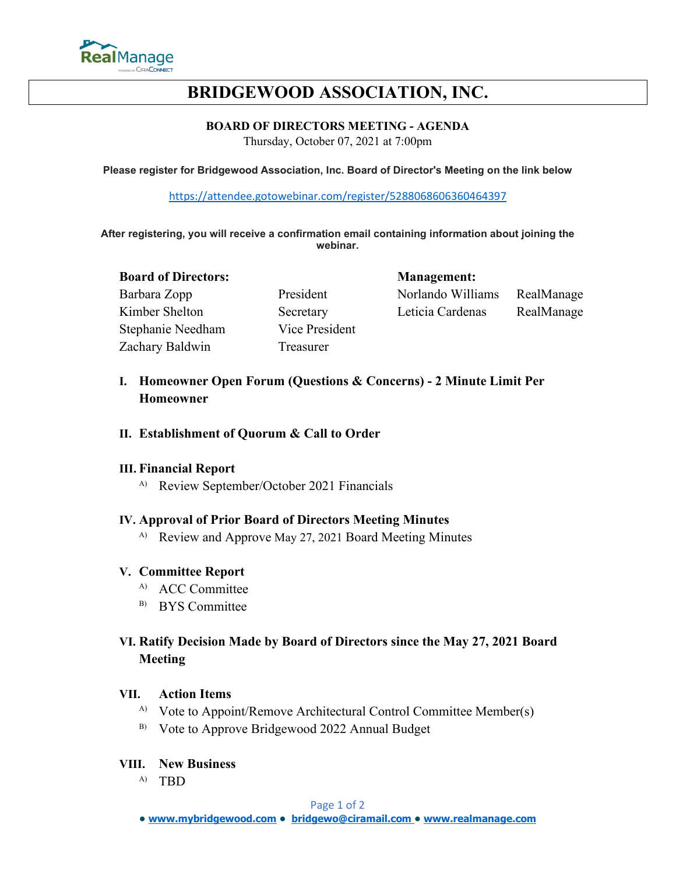

# **BRIDGEWOOD ASSOCIATION, INC.**

## **BOARD OF DIRECTORS MEETING - AGENDA**

Thursday, October 07, 2021 at 7:00pm

**Please register for Bridgewood Association, Inc. Board of Director's Meeting on the link below**

<https://attendee.gotowebinar.com/register/5288068606360464397>

**After registering, you will receive a confirmation email containing information about joining the webinar.**

#### **Board of Directors: Management:**

Stephanie Needham Vice President Zachary Baldwin Treasurer

Barbara Zopp **President** Norlando Williams RealManage Kimber Shelton Secretary Leticia Cardenas RealManage

# **I. Homeowner Open Forum (Questions & Concerns) - 2 Minute Limit Per Homeowner**

## **II. Establishment of Quorum & Call to Order**

## **III. Financial Report**

A) Review September/October 2021 Financials

## **IV. Approval of Prior Board of Directors Meeting Minutes**

<sup>A)</sup> Review and Approve May 27, 2021 Board Meeting Minutes

#### **V. Committee Report**

- <sup>A)</sup> ACC Committee
- <sup>B)</sup> BYS Committee

# **VI. Ratify Decision Made by Board of Directors since the May 27, 2021 Board Meeting**

#### **VII. Action Items**

- <sup>A)</sup> Vote to Appoint/Remove Architectural Control Committee Member(s)
- B) Vote to Approve Bridgewood 2022 Annual Budget

#### **VIII. New Business**

A) TBD